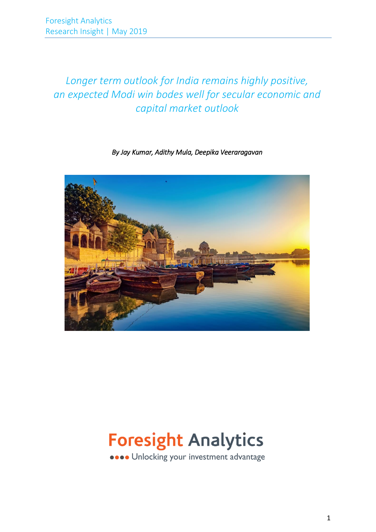# *Longer term outlook for India remains highly positive, an expected Modi win bodes well for secular economic and capital market outlook*

# *By Jay Kumar, Adithy Mula, Deepika Veeraragavan*



# **Foresight Analytics**

**....** Unlocking your investment advantage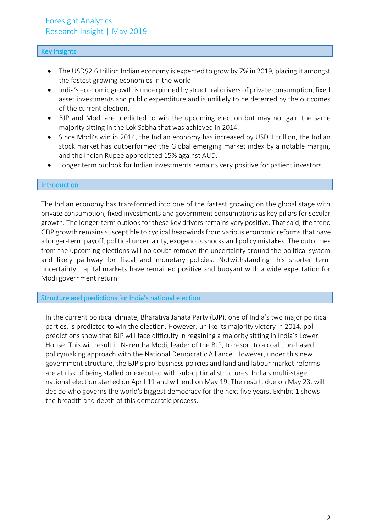# Key Insights

- The USD\$2.6 trillion Indian economy is expected to grow by 7% in 2019, placing it amongst the fastest growing economies in the world.
- India's economic growth is underpinned by structural drivers of private consumption, fixed asset investments and public expenditure and is unlikely to be deterred by the outcomes of the current election.
- BJP and Modi are predicted to win the upcoming election but may not gain the same majority sitting in the Lok Sabha that was achieved in 2014.
- Since Modi's win in 2014, the Indian economy has increased by USD 1 trillion, the Indian stock market has outperformed the Global emerging market index by a notable margin, and the Indian Rupee appreciated 15% against AUD.
- Longer term outlook for Indian investments remains very positive for patient investors.

# Introduction

The Indian economy has transformed into one of the fastest growing on the global stage with private consumption, fixed investments and government consumptions as key pillars for secular growth. The longer-term outlook for these key drivers remains very positive. That said, the trend GDP growth remainssusceptible to cyclical headwinds from various economic reforms that have a longer-term payoff, political uncertainty, exogenous shocks and policy mistakes. The outcomes from the upcoming elections will no doubt remove the uncertainty around the political system and likely pathway for fiscal and monetary policies. Notwithstanding this shorter term uncertainty, capital markets have remained positive and buoyant with a wide expectation for Modi government return.

### Structure and predictions for India's national election

In the current political climate, Bharatiya Janata Party (BJP), one of India's two major political parties, is predicted to win the election. However, unlike its majority victory in 2014, poll predictions show that BJP will face difficulty in regaining a majority sitting in India's Lower House. This will result in Narendra Modi, leader of the BJP, to resort to a coalition-based policymaking approach with the National Democratic Alliance. However, under this new government structure, the BJP's pro-business policies and land and labour market reforms are at risk of being stalled or executed with sub-optimal structures. India's multi-stage national election started on April 11 and will end on May 19. The result, due on May 23, will decide who governs the world's biggest democracy for the next five years. Exhibit 1 shows the breadth and depth of this democratic process.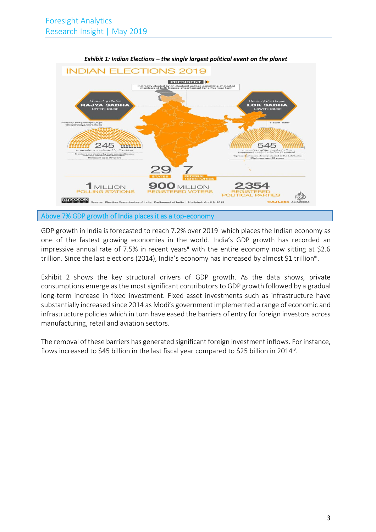

*Exhibit 1: Indian Elections – the single largest political event on the planet*

GDP growth in India is forecasted to reach 7.2% over 2019<sup>1</sup> which places the Indian economy as one of the fastest growing economies in the world. India's GDP growth has recorded an impressive annual rate of 7.5% in recent years<sup>ii</sup> with the entire economy now sitting at \$2.6 trillion. Since the last elections (2014), India's economy has increased by almost \$1 trillion<sup>iii</sup>.

Exhibit 2 shows the key structural drivers of GDP growth. As the data shows, private consumptions emerge as the most significant contributors to GDP growth followed by a gradual long-term increase in fixed investment. Fixed asset investments such as infrastructure have substantially increased since 2014 as Modi's government implemented a range of economic and infrastructure policies which in turn have eased the barriers of entry for foreign investors across manufacturing, retail and aviation sectors.

The removal of these barriers has generated significant foreign investment inflows. For instance, flows increased to \$45 billion in the last fiscal year compared to \$25 billion in 2014<sup>iv</sup>.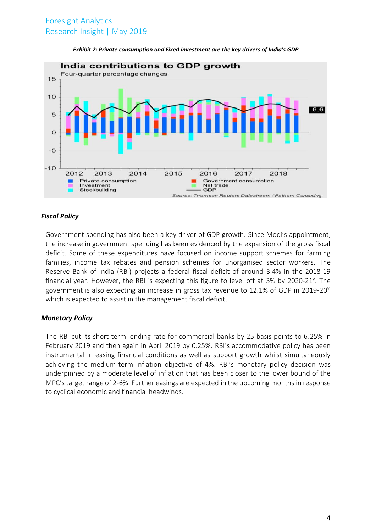

*Exhibit 2: Private consumption and Fixed investment are the key drivers of India's GDP*

#### *Fiscal Policy*

Government spending has also been a key driver of GDP growth. Since Modi's appointment, the increase in government spending has been evidenced by the expansion of the gross fiscal deficit. Some of these expenditures have focused on income support schemes for farming families, income tax rebates and pension schemes for unorganised sector workers. The Reserve Bank of India (RBI) projects a federal fiscal deficit of around 3.4% in the 2018-19 financial year. However, the RBI is expecting this figure to level off at 3% by 2020-21<sup>v</sup>. The government is also expecting an increase in gross tax revenue to 12.1% of GDP in 2019-20 $\rm{v}$ which is expected to assist in the management fiscal deficit.

#### *Monetary Policy*

The RBI cut its short-term lending rate for commercial banks by 25 basis points to 6.25% in February 2019 and then again in April 2019 by 0.25%. RBI's accommodative policy has been instrumental in easing financial conditions as well as support growth whilst simultaneously achieving the medium-term inflation objective of 4%. RBI's monetary policy decision was underpinned by a moderate level of inflation that has been closer to the lower bound of the MPC's target range of 2-6%. Further easings are expected in the upcoming months in response to cyclical economic and financial headwinds.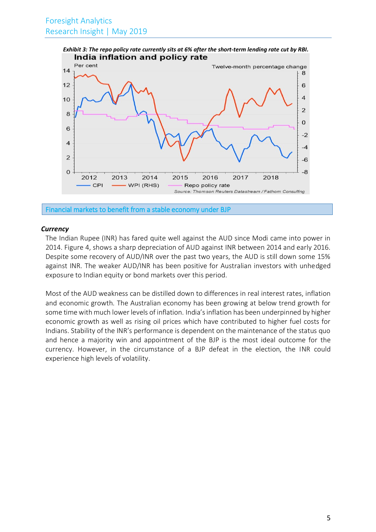

Financial markets to benefit from a stable economy under BJP

#### *Currency*

The Indian Rupee (INR) has fared quite well against the AUD since Modi came into power in 2014. Figure 4, shows a sharp depreciation of AUD against INR between 2014 and early 2016. Despite some recovery of AUD/INR over the past two years, the AUD is still down some 15% against INR. The weaker AUD/INR has been positive for Australian investors with unhedged exposure to Indian equity or bond markets over this period.

Most of the AUD weakness can be distilled down to differences in real interest rates, inflation and economic growth. The Australian economy has been growing at below trend growth for some time with much lower levels of inflation. India's inflation has been underpinned by higher economic growth as well as rising oil prices which have contributed to higher fuel costs for Indians. Stability of the INR's performance is dependent on the maintenance of the status quo and hence a majority win and appointment of the BJP is the most ideal outcome for the currency. However, in the circumstance of a BJP defeat in the election, the INR could experience high levels of volatility.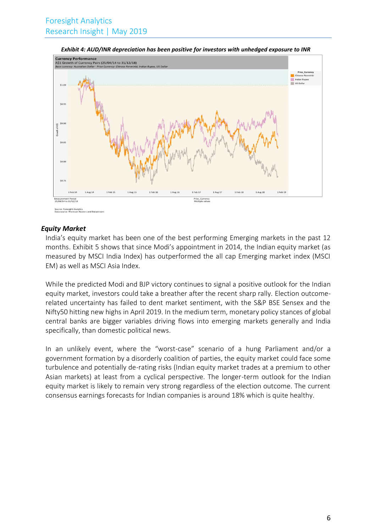

*Exhibit 4: AUD/INR depreciation has been positive for investors with unhedged exposure to INR*

#### *Equity Market*

India's equity market has been one of the best performing Emerging markets in the past 12 months. Exhibit 5 shows that since Modi's appointment in 2014, the Indian equity market (as measured by MSCI India Index) has outperformed the all cap Emerging market index (MSCI EM) as well as MSCI Asia Index.

While the predicted Modi and BJP victory continues to signal a positive outlook for the Indian equity market, investors could take a breather after the recent sharp rally. Election outcomerelated uncertainty has failed to dent market sentiment, with the S&P BSE Sensex and the Nifty50 hitting new highs in April 2019. In the medium term, monetary policy stances of global central banks are bigger variables driving flows into emerging markets generally and India specifically, than domestic political news.

In an unlikely event, where the "worst-case" scenario of a hung Parliament and/or a government formation by a disorderly coalition of parties, the equity market could face some turbulence and potentially de-rating risks (Indian equity market trades at a premium to other Asian markets) at least from a cyclical perspective. The longer-term outlook for the Indian equity market is likely to remain very strong regardless of the election outcome. The current consensus earnings forecasts for Indian companies is around 18% which is quite healthy.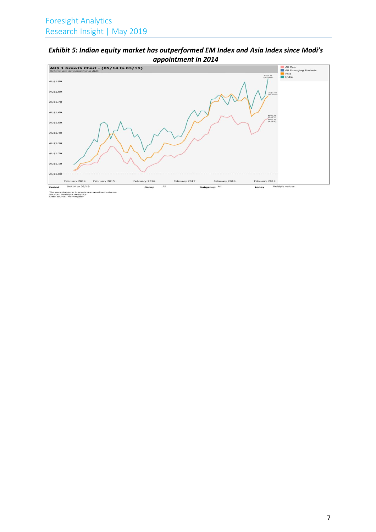# *Exhibit 5: Indian equity market has outperformed EM Index and Asia Index since Modi's appointment in 2014*



The pecentages in brackets are anualized returns.<br>Source: Foresight Analytics<br>Data source: Morningstar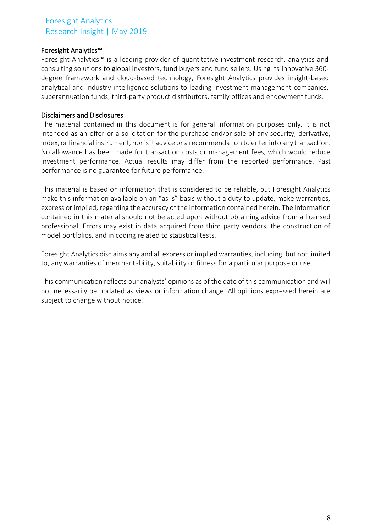# Foresight Analytics™

Foresight Analytics™ is a leading provider of quantitative investment research, analytics and consulting solutions to global investors, fund buyers and fund sellers. Using its innovative 360 degree framework and cloud-based technology, Foresight Analytics provides insight-based analytical and industry intelligence solutions to leading investment management companies, superannuation funds, third-party product distributors, family offices and endowment funds.

# Disclaimers and Disclosures

The material contained in this document is for general information purposes only. It is not intended as an offer or a solicitation for the purchase and/or sale of any security, derivative, index, or financial instrument, nor is it advice or a recommendation to enter into any transaction. No allowance has been made for transaction costs or management fees, which would reduce investment performance. Actual results may differ from the reported performance. Past performance is no guarantee for future performance.

This material is based on information that is considered to be reliable, but Foresight Analytics make this information available on an "as is" basis without a duty to update, make warranties, express or implied, regarding the accuracy of the information contained herein. The information contained in this material should not be acted upon without obtaining advice from a licensed professional. Errors may exist in data acquired from third party vendors, the construction of model portfolios, and in coding related to statistical tests.

Foresight Analytics disclaims any and all express or implied warranties, including, but not limited to, any warranties of merchantability, suitability or fitness for a particular purpose or use.

This communication reflects our analysts' opinions as of the date of this communication and will not necessarily be updated as views or information change. All opinions expressed herein are subject to change without notice.